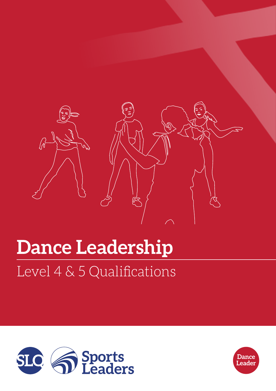

# Level 4 & 5 Qualifications **Dance Leadership**



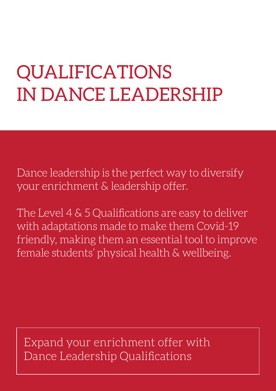# QUALIFICATIONS IN DANCE LEADERSHIP

Dance leadership is the perfect way to diversify your enrichment & leadership offer.

The Level 4 & 5 Qualifications are easy to deliver with adaptations made to make them Covid-19 friendly, making them an essential tool to improve female students' physical health & wellbeing.

Expand your enrichment offer with Dance Leadership Qualifications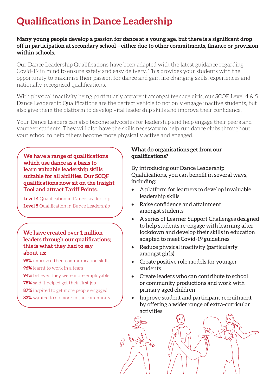# **Qualifications in Dance Leadership**

### **Many young people develop a passion for dance at a young age, but there is a significant drop off in participation at secondary school – either due to other commitments, finance or provision within schools.**

Our Dance Leadership Qualifications have been adapted with the latest guidance regarding Covid-19 in mind to ensure safety and easy delivery. This provides your students with the opportunity to maximise their passion for dance and gain life changing skills, experiences and nationally recognised qualifications.

With physical inactivity being particularly apparent amongst teenage girls, our SCQF Level 4 & 5 Dance Leadership Qualifications are the perfect vehicle to not only engage inactive students, but also give them the platform to develop vital leadership skills and improve their confidence.

Your Dance Leaders can also become advocates for leadership and help engage their peers and younger students. They will also have the skills necessary to help run dance clubs throughout your school to help others become more physically active and engaged.

**We have a range of qualifications which use dance as a basis to learn valuable leadership skills suitable for all abilities. Our SCQF qualifications now sit on the Insight Tool and attract Tariff Points.** 

**Level 4** Qualification in Dance Leadership **Level 5** Qualification in Dance Leadership

#### **We have created over 1 million leaders through our qualifications; this is what they had to say about us:**

- **98%** improved their communication skills
- **96%** learnt to work in a team
- **94%** believed they were more employable
- **78%** said it helped get their first job
- **87%** inspired to get more people engaged
- **83%** wanted to do more in the community

### **What do organisations get from our qualifications?**

By introducing our Dance Leadership Qualifications, you can benefit in several ways, including:

- A platform for learners to develop invaluable leadership skills
- Raise confidence and attainment amongst students
- A series of Learner Support Challenges designed to help students re-engage with learning after lockdown and develop their skills in education adapted to meet Covid-19 guidelines
- Reduce physical inactivity (particularly amongst girls)
- Create positive role models for younger students
- Create leaders who can contribute to school or community productions and work with primary aged children
- Improve student and participant recruitment by offering a wider range of extra-curricular activities